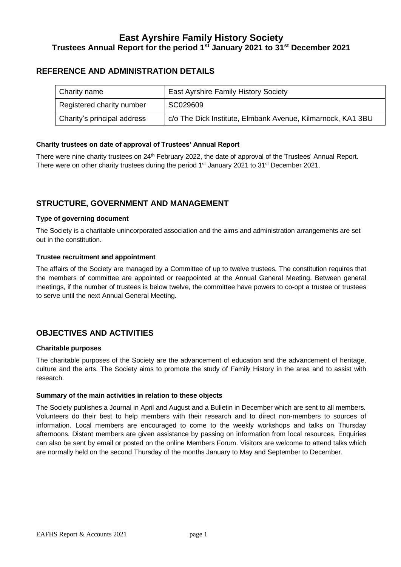### **East Ayrshire Family History Society Trustees Annual Report for the period 1st January 2021 to 31st December 2021**

### **REFERENCE AND ADMINISTRATION DETAILS**

| Charity name                | <b>East Ayrshire Family History Society</b>                 |
|-----------------------------|-------------------------------------------------------------|
| Registered charity number   | SC029609                                                    |
| Charity's principal address | c/o The Dick Institute, Elmbank Avenue, Kilmarnock, KA1 3BU |

#### **Charity trustees on date of approval of Trustees' Annual Report**

There were nine charity trustees on 24<sup>th</sup> February 2022, the date of approval of the Trustees' Annual Report. There were on other charity trustees during the period 1<sup>st</sup> January 2021 to 31<sup>st</sup> December 2021.

### **STRUCTURE, GOVERNMENT AND MANAGEMENT**

#### **Type of governing document**

The Society is a charitable unincorporated association and the aims and administration arrangements are set out in the constitution.

#### **Trustee recruitment and appointment**

The affairs of the Society are managed by a Committee of up to twelve trustees. The constitution requires that the members of committee are appointed or reappointed at the Annual General Meeting. Between general meetings, if the number of trustees is below twelve, the committee have powers to co-opt a trustee or trustees to serve until the next Annual General Meeting.

### **OBJECTIVES AND ACTIVITIES**

#### **Charitable purposes**

The charitable purposes of the Society are the advancement of education and the advancement of heritage, culture and the arts. The Society aims to promote the study of Family History in the area and to assist with research.

#### **Summary of the main activities in relation to these objects**

The Society publishes a Journal in April and August and a Bulletin in December which are sent to all members. Volunteers do their best to help members with their research and to direct non-members to sources of information. Local members are encouraged to come to the weekly workshops and talks on Thursday afternoons. Distant members are given assistance by passing on information from local resources. Enquiries can also be sent by email or posted on the online Members Forum. Visitors are welcome to attend talks which are normally held on the second Thursday of the months January to May and September to December.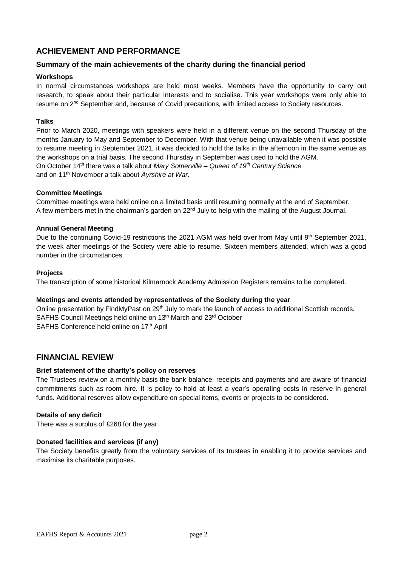### **ACHIEVEMENT AND PERFORMANCE**

#### **Summary of the main achievements of the charity during the financial period**

#### **Workshops**

In normal circumstances workshops are held most weeks. Members have the opportunity to carry out research, to speak about their particular interests and to socialise. This year workshops were only able to resume on 2<sup>nd</sup> September and, because of Covid precautions, with limited access to Society resources.

#### **Talks**

Prior to March 2020, meetings with speakers were held in a different venue on the second Thursday of the months January to May and September to December. With that venue being unavailable when it was possible to resume meeting in September 2021, it was decided to hold the talks in the afternoon in the same venue as the workshops on a trial basis. The second Thursday in September was used to hold the AGM. On October 14th there was a talk about *Mary Somerville – Queen of 19th Century Science* and on 11th November a talk about *Ayrshire at War*.

#### **Committee Meetings**

Committee meetings were held online on a limited basis until resuming normally at the end of September. A few members met in the chairman's garden on  $22<sup>nd</sup>$  July to help with the mailing of the August Journal.

#### **Annual General Meeting**

Due to the continuing Covid-19 restrictions the 2021 AGM was held over from May until 9<sup>th</sup> September 2021, the week after meetings of the Society were able to resume. Sixteen members attended, which was a good number in the circumstances.

#### **Projects**

The transcription of some historical Kilmarnock Academy Admission Registers remains to be completed.

#### **Meetings and events attended by representatives of the Society during the year**

Online presentation by FindMyPast on 29<sup>th</sup> July to mark the launch of access to additional Scottish records. SAFHS Council Meetings held online on 13<sup>th</sup> March and 23<sup>rd</sup> October SAFHS Conference held online on 17<sup>th</sup> April

#### **FINANCIAL REVIEW**

#### **Brief statement of the charity's policy on reserves**

The Trustees review on a monthly basis the bank balance, receipts and payments and are aware of financial commitments such as room hire. It is policy to hold at least a year's operating costs in reserve in general funds. Additional reserves allow expenditure on special items, events or projects to be considered.

#### **Details of any deficit**

There was a surplus of £268 for the year.

#### **Donated facilities and services (if any)**

The Society benefits greatly from the voluntary services of its trustees in enabling it to provide services and maximise its charitable purposes.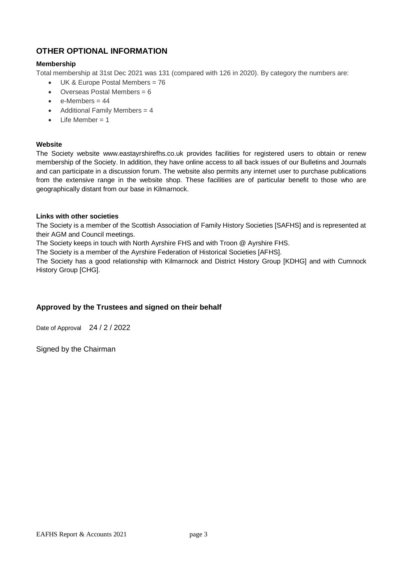# **OTHER OPTIONAL INFORMATION**

#### **Membership**

Total membership at 31st Dec 2021 was 131 (compared with 126 in 2020). By category the numbers are:

- UK & Europe Postal Members = 76
- $\bullet$  Overseas Postal Members = 6
- $e$ -Members = 44
- Additional Family Members = 4
- $\bullet$  Life Member = 1

#### **Website**

The Society website www.eastayrshirefhs.co.uk provides facilities for registered users to obtain or renew membership of the Society. In addition, they have online access to all back issues of our Bulletins and Journals and can participate in a discussion forum. The website also permits any internet user to purchase publications from the extensive range in the website shop. These facilities are of particular benefit to those who are geographically distant from our base in Kilmarnock.

#### **Links with other societies**

The Society is a member of the Scottish Association of Family History Societies [SAFHS] and is represented at their AGM and Council meetings.

The Society keeps in touch with North Ayrshire FHS and with Troon @ Ayrshire FHS.

The Society is a member of the Ayrshire Federation of Historical Societies [AFHS].

The Society has a good relationship with Kilmarnock and District History Group [KDHG] and with Cumnock History Group [CHG].

#### **Approved by the Trustees and signed on their behalf**

Date of Approval 24 / 2 / 2022

Signed by the Chairman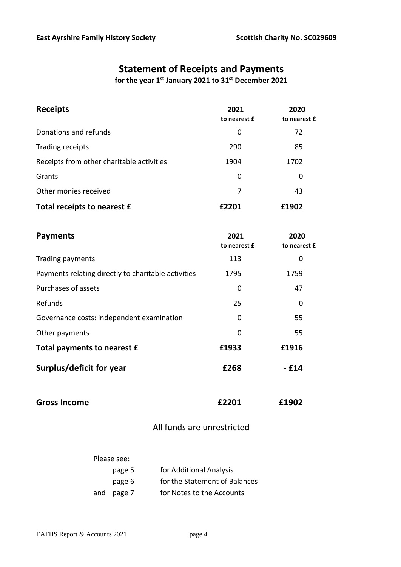# **Statement of Receipts and Payments**

**for the year 1st January 2021 to 31st December 2021**

| <b>Receipts</b>                           | 2021<br>to nearest £ | 2020<br>to nearest £ |
|-------------------------------------------|----------------------|----------------------|
| Donations and refunds                     | 0                    | 72                   |
| Trading receipts                          | 290                  | 85                   |
| Receipts from other charitable activities | 1904                 | 1702                 |
| Grants                                    | 0                    | 0                    |
| Other monies received                     | 7                    | 43                   |
| Total receipts to nearest £               | £2201                | £1902                |

| <b>Payments</b>                                     | 2021<br>to nearest £ | 2020<br>to nearest £ |
|-----------------------------------------------------|----------------------|----------------------|
| Trading payments                                    | 113                  | 0                    |
| Payments relating directly to charitable activities | 1795                 | 1759                 |
| Purchases of assets                                 | 0                    | 47                   |
| Refunds                                             | 25                   | 0                    |
| Governance costs: independent examination           | 0                    | 55                   |
| Other payments                                      | 0                    | 55                   |
| Total payments to nearest £                         | £1933                | £1916                |
| Surplus/deficit for year                            | £268                 | - £14                |

| <b>Gross Income</b> | £2201 | £1902 |
|---------------------|-------|-------|
|                     |       |       |

# All funds are unrestricted

| Please see: |                               |
|-------------|-------------------------------|
| page 5      | for Additional Analysis       |
| page 6      | for the Statement of Balances |
| and page 7  | for Notes to the Accounts     |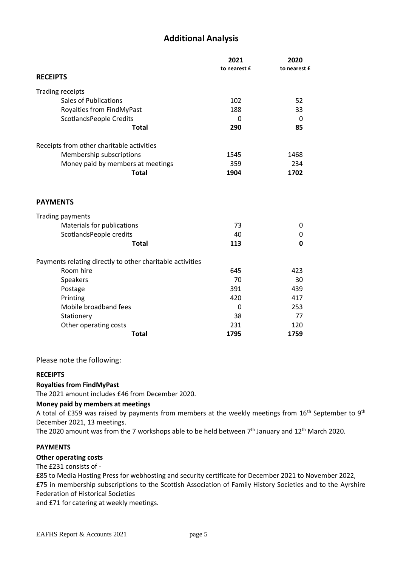# **Additional Analysis**

|                                                           | 2021         | 2020         |
|-----------------------------------------------------------|--------------|--------------|
|                                                           | to nearest £ | to nearest £ |
| <b>RECEIPTS</b>                                           |              |              |
| <b>Trading receipts</b>                                   |              |              |
| <b>Sales of Publications</b>                              | 102          | 52           |
| Royalties from FindMyPast                                 | 188          | 33           |
| <b>ScotlandsPeople Credits</b>                            | 0            | $\Omega$     |
| <b>Total</b>                                              | 290          | 85           |
| Receipts from other charitable activities                 |              |              |
| Membership subscriptions                                  | 1545         | 1468         |
| Money paid by members at meetings                         | 359          | 234          |
| <b>Total</b>                                              | 1904         | 1702         |
| <b>PAYMENTS</b>                                           |              |              |
| <b>Trading payments</b>                                   |              |              |
| Materials for publications                                | 73           | 0            |
| ScotlandsPeople credits                                   | 40           | 0            |
| <b>Total</b>                                              | 113          | 0            |
| Payments relating directly to other charitable activities |              |              |
| Room hire                                                 | 645          | 423          |
| Speakers                                                  | 70           | 30           |
| Postage                                                   | 391          | 439          |
| Printing                                                  | 420          | 417          |
| Mobile broadband fees                                     | 0            | 253          |
| Stationery                                                | 38           | 77           |
| Other operating costs                                     | 231          | 120          |
| <b>Total</b>                                              | 1795         | 1759         |

Please note the following:

#### **RECEIPTS**

#### **Royalties from FindMyPast**

The 2021 amount includes £46 from December 2020.

#### **Money paid by members at meetings**

A total of £359 was raised by payments from members at the weekly meetings from  $16^{th}$  September to  $9^{th}$ December 2021, 13 meetings.

The 2020 amount was from the 7 workshops able to be held between 7<sup>th</sup> January and 12<sup>th</sup> March 2020.

#### **PAYMENTS**

#### **Other operating costs**

The £231 consists of -

£85 to Media Hosting Press for webhosting and security certificate for December 2021 to November 2022, £75 in membership subscriptions to the Scottish Association of Family History Societies and to the Ayrshire Federation of Historical Societies

and £71 for catering at weekly meetings.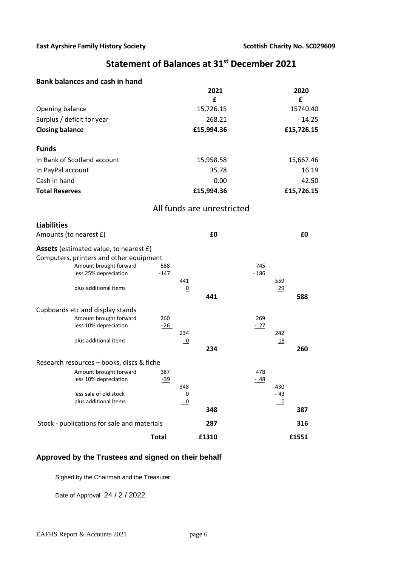# **Statement of Balances at 31st December 2021**

#### **Bank balances and cash in hand**

|                                                                                                                                                                                                          |               |                        | 2021                       |               |                          | 2020       |
|----------------------------------------------------------------------------------------------------------------------------------------------------------------------------------------------------------|---------------|------------------------|----------------------------|---------------|--------------------------|------------|
|                                                                                                                                                                                                          |               |                        | £                          |               |                          | £          |
| Opening balance                                                                                                                                                                                          |               |                        | 15,726.15                  |               |                          | 15740.40   |
| Surplus / deficit for year                                                                                                                                                                               |               |                        | 268.21                     |               |                          | $-14.25$   |
| <b>Closing balance</b>                                                                                                                                                                                   |               |                        | £15,994.36                 |               |                          | £15,726.15 |
| <b>Funds</b>                                                                                                                                                                                             |               |                        |                            |               |                          |            |
| In Bank of Scotland account                                                                                                                                                                              |               |                        | 15,958.58                  |               |                          | 15,667.46  |
| In PayPal account                                                                                                                                                                                        |               |                        | 35.78                      |               |                          | 16.19      |
| Cash in hand                                                                                                                                                                                             |               |                        | 0.00                       |               |                          | 42.50      |
| <b>Total Reserves</b>                                                                                                                                                                                    |               |                        | £15,994.36                 |               |                          | £15,726.15 |
|                                                                                                                                                                                                          |               |                        | All funds are unrestricted |               |                          |            |
| <b>Liabilities</b>                                                                                                                                                                                       |               |                        |                            |               |                          |            |
| Amounts (to nearest £)                                                                                                                                                                                   |               |                        | £0                         |               |                          | £0         |
| <b>Assets</b> (estimated value, to nearest £)<br>Computers, printers and other equipment<br>Amount brought forward<br>less 25% depreciation<br>plus additional items<br>Cupboards etc and display stands | 588<br>$-147$ | 441<br>$\underline{0}$ | 441                        | 745<br>$-186$ | 559<br>29                | 588        |
| Amount brought forward<br>less 10% depreciation<br>plus additional items                                                                                                                                 | 260<br>$-26$  | 234<br>$\overline{0}$  |                            | 269<br>$-27$  | 242<br><u>18</u>         |            |
|                                                                                                                                                                                                          |               |                        | 234                        |               |                          | 260        |
| Research resources – books, discs & fiche                                                                                                                                                                |               |                        |                            |               |                          |            |
| Amount brought forward<br>less 10% depreciation                                                                                                                                                          | 387<br>$-39$  | 348                    |                            | 478<br>$-48$  | 430                      |            |
| less sale of old stock                                                                                                                                                                                   |               | 0                      |                            |               | $-43$                    |            |
| plus additional items                                                                                                                                                                                    |               | $\overline{0}$         | 348                        |               | $\overline{\phantom{0}}$ | 387        |
| Stock - publications for sale and materials                                                                                                                                                              |               |                        | 287                        |               |                          | 316        |
|                                                                                                                                                                                                          | <b>Total</b>  |                        | £1310                      |               |                          | £1551      |

# **Approved by the Trustees and signed on their behalf**

Signed by the Chairman and the Treasurer

Date of Approval 24 / 2 / 2022